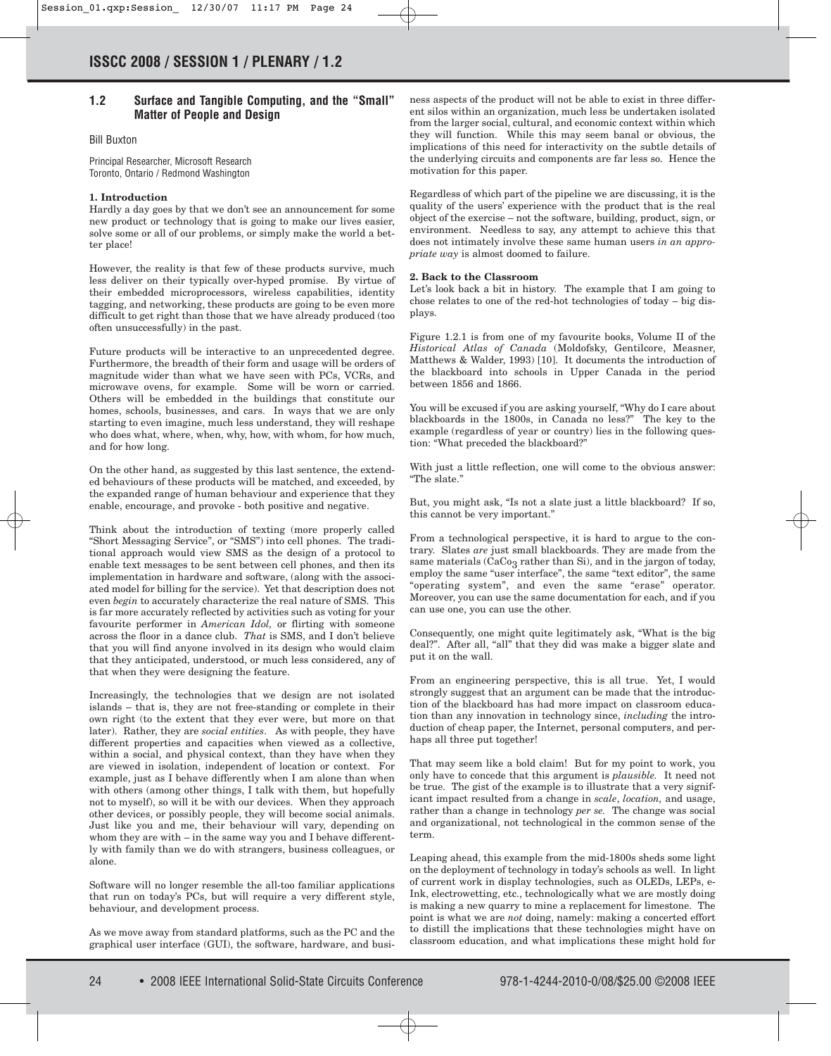# **1.2 Surface and Tangible Computing, and the "Small" Matter of People and Design**

## Bill Buxton

Principal Researcher, Microsoft Research Toronto, Ontario / Redmond Washington

## **1. Introduction**

Hardly a day goes by that we don't see an announcement for some new product or technology that is going to make our lives easier, solve some or all of our problems, or simply make the world a better place!

However, the reality is that few of these products survive, much less deliver on their typically over-hyped promise. By virtue of their embedded microprocessors, wireless capabilities, identity tagging, and networking, these products are going to be even more difficult to get right than those that we have already produced (too often unsuccessfully) in the past.

Future products will be interactive to an unprecedented degree. Furthermore, the breadth of their form and usage will be orders of magnitude wider than what we have seen with PCs, VCRs, and microwave ovens, for example. Some will be worn or carried. Others will be embedded in the buildings that constitute our homes, schools, businesses, and cars. In ways that we are only starting to even imagine, much less understand, they will reshape who does what, where, when, why, how, with whom, for how much, and for how long.

On the other hand, as suggested by this last sentence, the extended behaviours of these products will be matched, and exceeded, by the expanded range of human behaviour and experience that they enable, encourage, and provoke - both positive and negative.

Think about the introduction of texting (more properly called "Short Messaging Service", or "SMS") into cell phones. The traditional approach would view SMS as the design of a protocol to enable text messages to be sent between cell phones, and then its implementation in hardware and software, (along with the associated model for billing for the service). Yet that description does not even *begin* to accurately characterize the real nature of SMS. This is far more accurately reflected by activities such as voting for your favourite performer in *American Idol,* or flirting with someone across the floor in a dance club. *That* is SMS, and I don't believe that you will find anyone involved in its design who would claim that they anticipated, understood, or much less considered, any of that when they were designing the feature.

Increasingly, the technologies that we design are not isolated islands – that is, they are not free-standing or complete in their own right (to the extent that they ever were, but more on that later). Rather, they are *social entities*. As with people, they have different properties and capacities when viewed as a collective, within a social, and physical context, than they have when they are viewed in isolation, independent of location or context. For example, just as I behave differently when I am alone than when with others (among other things, I talk with them, but hopefully not to myself), so will it be with our devices. When they approach other devices, or possibly people, they will become social animals. Just like you and me, their behaviour will vary, depending on whom they are with – in the same way you and I behave differently with family than we do with strangers, business colleagues, or alone.

Software will no longer resemble the all-too familiar applications that run on today's PCs, but will require a very different style, behaviour, and development process.

As we move away from standard platforms, such as the PC and the graphical user interface (GUI), the software, hardware, and business aspects of the product will not be able to exist in three different silos within an organization, much less be undertaken isolated from the larger social, cultural, and economic context within which they will function. While this may seem banal or obvious, the implications of this need for interactivity on the subtle details of the underlying circuits and components are far less so. Hence the motivation for this paper.

Regardless of which part of the pipeline we are discussing, it is the quality of the users' experience with the product that is the real object of the exercise – not the software, building, product, sign, or environment. Needless to say, any attempt to achieve this that does not intimately involve these same human users *in an appropriate way* is almost doomed to failure.

### **2. Back to the Classroom**

Let's look back a bit in history. The example that I am going to chose relates to one of the red-hot technologies of today – big displays.

Figure 1.2.1 is from one of my favourite books, Volume II of the *Historical Atlas of Canada* (Moldofsky, Gentilcore, Measner, Matthews & Walder, 1993) [10]. It documents the introduction of the blackboard into schools in Upper Canada in the period between 1856 and 1866.

You will be excused if you are asking yourself, "Why do I care about blackboards in the 1800s, in Canada no less?" The key to the example (regardless of year or country) lies in the following question: "What preceded the blackboard?"

With just a little reflection, one will come to the obvious answer: "The slate."

But, you might ask, "Is not a slate just a little blackboard? If so, this cannot be very important."

From a technological perspective, it is hard to argue to the contrary. Slates *are* just small blackboards. They are made from the same materials (CaCo<sub>3</sub> rather than Si), and in the jargon of today, employ the same "user interface", the same "text editor", the same "operating system", and even the same "erase" operator. Moreover, you can use the same documentation for each, and if you can use one, you can use the other.

Consequently, one might quite legitimately ask, "What is the big deal?". After all, "all" that they did was make a bigger slate and put it on the wall.

From an engineering perspective, this is all true. Yet, I would strongly suggest that an argument can be made that the introduction of the blackboard has had more impact on classroom education than any innovation in technology since, *including* the introduction of cheap paper, the Internet, personal computers, and perhaps all three put together!

That may seem like a bold claim! But for my point to work, you only have to concede that this argument is *plausible.* It need not be true. The gist of the example is to illustrate that a very significant impact resulted from a change in *scale*, *location,* and usage, rather than a change in technology *per se.* The change was social and organizational, not technological in the common sense of the term.

Leaping ahead, this example from the mid-1800s sheds some light on the deployment of technology in today's schools as well. In light of current work in display technologies, such as OLEDs, LEPs, e-Ink, electrowetting, etc., technologically what we are mostly doing is making a new quarry to mine a replacement for limestone. The point is what we are *not* doing, namely: making a concerted effort to distill the implications that these technologies might have on classroom education, and what implications these might hold for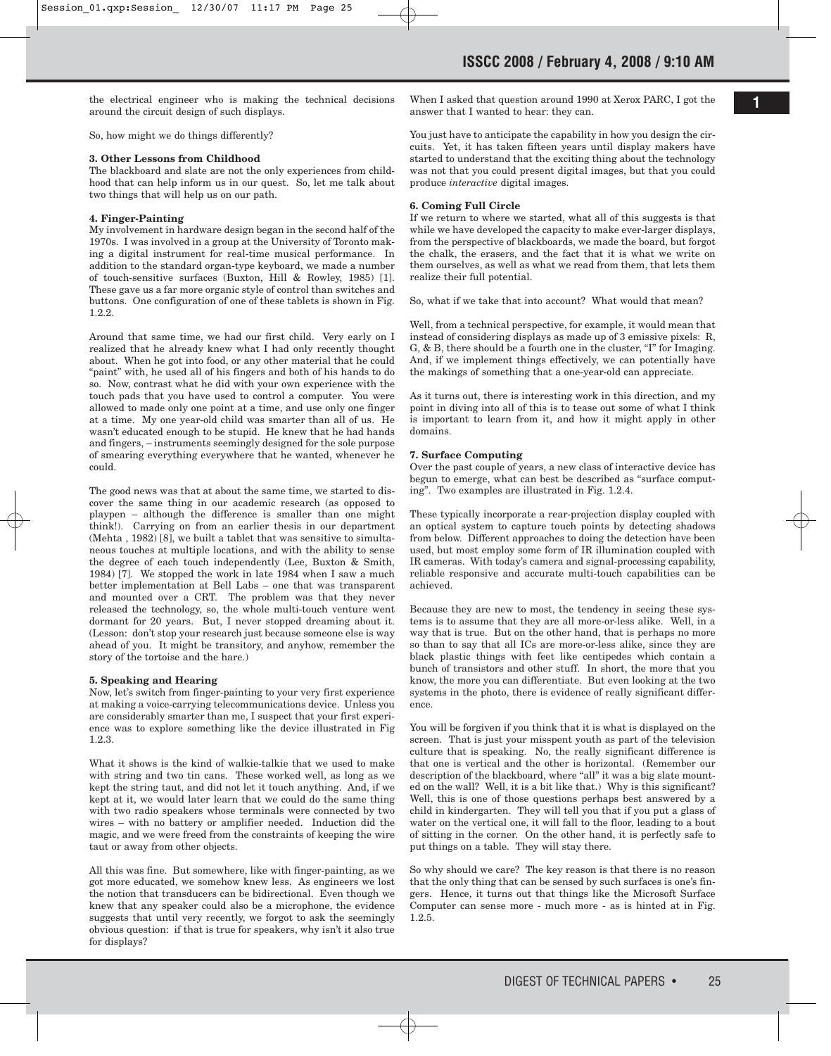the electrical engineer who is making the technical decisions around the circuit design of such displays.

So, how might we do things differently?

#### **3. Other Lessons from Childhood**

The blackboard and slate are not the only experiences from childhood that can help inform us in our quest. So, let me talk about two things that will help us on our path.

#### **4. Finger-Painting**

My involvement in hardware design began in the second half of the 1970s. I was involved in a group at the University of Toronto making a digital instrument for real-time musical performance. In addition to the standard organ-type keyboard, we made a number of touch-sensitive surfaces (Buxton, Hill & Rowley, 1985) [1]. These gave us a far more organic style of control than switches and buttons. One configuration of one of these tablets is shown in Fig. 1.2.2.

Around that same time, we had our first child. Very early on I realized that he already knew what I had only recently thought about. When he got into food, or any other material that he could "paint" with, he used all of his fingers and both of his hands to do so. Now, contrast what he did with your own experience with the touch pads that you have used to control a computer. You were allowed to made only one point at a time, and use only one finger at a time. My one year-old child was smarter than all of us. He wasn't educated enough to be stupid. He knew that he had hands and fingers, – instruments seemingly designed for the sole purpose of smearing everything everywhere that he wanted, whenever he could.

The good news was that at about the same time, we started to discover the same thing in our academic research (as opposed to playpen – although the difference is smaller than one might think!). Carrying on from an earlier thesis in our department (Mehta , 1982) [8], we built a tablet that was sensitive to simultaneous touches at multiple locations, and with the ability to sense the degree of each touch independently (Lee, Buxton & Smith, 1984) [7]. We stopped the work in late 1984 when I saw a much better implementation at Bell Labs – one that was transparent and mounted over a CRT. The problem was that they never released the technology, so, the whole multi-touch venture went dormant for 20 years. But, I never stopped dreaming about it. (Lesson: don't stop your research just because someone else is way ahead of you. It might be transitory, and anyhow, remember the story of the tortoise and the hare.)

#### **5. Speaking and Hearing**

Now, let's switch from finger-painting to your very first experience at making a voice-carrying telecommunications device. Unless you are considerably smarter than me, I suspect that your first experience was to explore something like the device illustrated in Fig 1.2.3.

What it shows is the kind of walkie-talkie that we used to make with string and two tin cans. These worked well, as long as we kept the string taut, and did not let it touch anything. And, if we kept at it, we would later learn that we could do the same thing with two radio speakers whose terminals were connected by two wires – with no battery or amplifier needed. Induction did the magic, and we were freed from the constraints of keeping the wire taut or away from other objects.

All this was fine. But somewhere, like with finger-painting, as we got more educated, we somehow knew less. As engineers we lost the notion that transducers can be bidirectional. Even though we knew that any speaker could also be a microphone, the evidence suggests that until very recently, we forgot to ask the seemingly obvious question: if that is true for speakers, why isn't it also true for displays?

When I asked that question around 1990 at Xerox PARC, I got the answer that I wanted to hear: they can.

You just have to anticipate the capability in how you design the circuits. Yet, it has taken fifteen years until display makers have started to understand that the exciting thing about the technology was not that you could present digital images, but that you could produce *interactive* digital images.

#### **6. Coming Full Circle**

If we return to where we started, what all of this suggests is that while we have developed the capacity to make ever-larger displays, from the perspective of blackboards, we made the board, but forgot the chalk, the erasers, and the fact that it is what we write on them ourselves, as well as what we read from them, that lets them realize their full potential.

So, what if we take that into account? What would that mean?

Well, from a technical perspective, for example, it would mean that instead of considering displays as made up of 3 emissive pixels: R, G, & B, there should be a fourth one in the cluster, "I" for Imaging. And, if we implement things effectively, we can potentially have the makings of something that a one-year-old can appreciate.

As it turns out, there is interesting work in this direction, and my point in diving into all of this is to tease out some of what I think is important to learn from it, and how it might apply in other domains.

### **7. Surface Computing**

Over the past couple of years, a new class of interactive device has begun to emerge, what can best be described as "surface computing". Two examples are illustrated in Fig. 1.2.4.

These typically incorporate a rear-projection display coupled with an optical system to capture touch points by detecting shadows from below. Different approaches to doing the detection have been used, but most employ some form of IR illumination coupled with IR cameras. With today's camera and signal-processing capability, reliable responsive and accurate multi-touch capabilities can be achieved.

Because they are new to most, the tendency in seeing these systems is to assume that they are all more-or-less alike. Well, in a way that is true. But on the other hand, that is perhaps no more so than to say that all ICs are more-or-less alike, since they are black plastic things with feet like centipedes which contain a bunch of transistors and other stuff. In short, the more that you know, the more you can differentiate. But even looking at the two systems in the photo, there is evidence of really significant difference.

You will be forgiven if you think that it is what is displayed on the screen. That is just your misspent youth as part of the television culture that is speaking. No, the really significant difference is that one is vertical and the other is horizontal. (Remember our description of the blackboard, where "all" it was a big slate mounted on the wall? Well, it is a bit like that.) Why is this significant? Well, this is one of those questions perhaps best answered by a child in kindergarten. They will tell you that if you put a glass of water on the vertical one, it will fall to the floor, leading to a bout of sitting in the corner. On the other hand, it is perfectly safe to put things on a table. They will stay there.

So why should we care? The key reason is that there is no reason that the only thing that can be sensed by such surfaces is one's fingers. Hence, it turns out that things like the Microsoft Surface Computer can sense more - much more - as is hinted at in Fig. 1.2.5.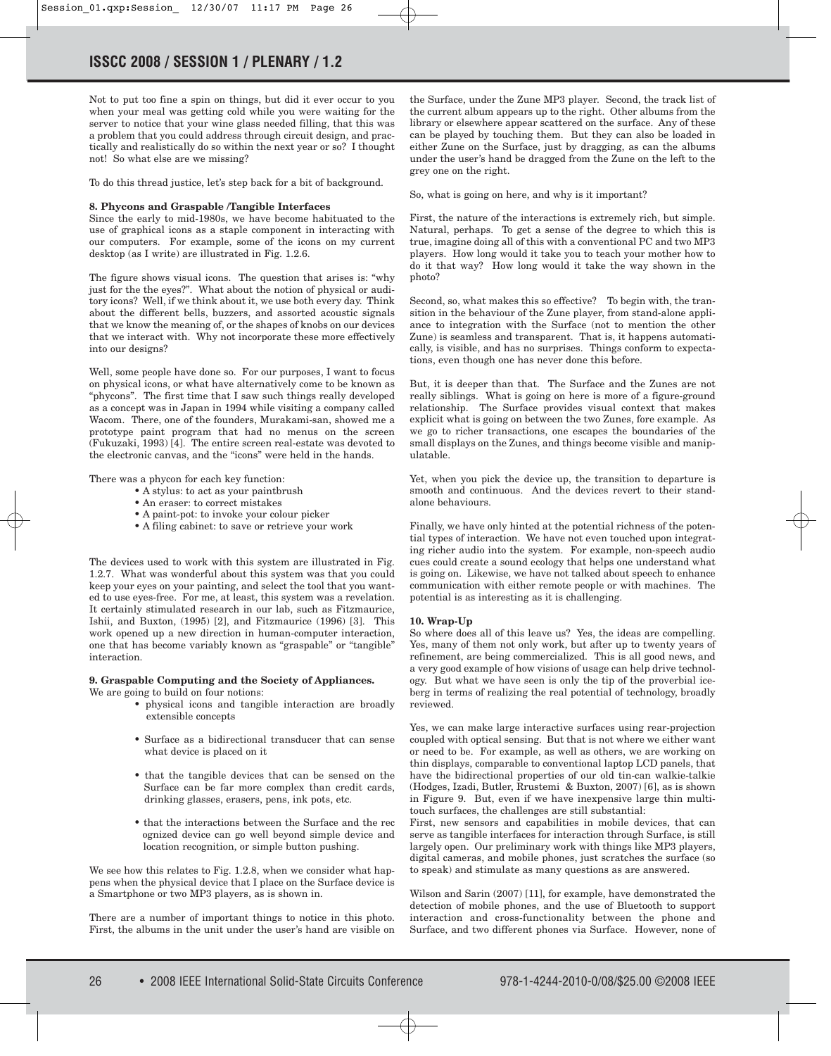Not to put too fine a spin on things, but did it ever occur to you when your meal was getting cold while you were waiting for the server to notice that your wine glass needed filling, that this was a problem that you could address through circuit design, and practically and realistically do so within the next year or so? I thought not! So what else are we missing?

To do this thread justice, let's step back for a bit of background.

## **8. Phycons and Graspable /Tangible Interfaces**

Since the early to mid-1980s, we have become habituated to the use of graphical icons as a staple component in interacting with our computers. For example, some of the icons on my current desktop (as I write) are illustrated in Fig. 1.2.6.

The figure shows visual icons. The question that arises is: "why just for the the eyes?". What about the notion of physical or auditory icons? Well, if we think about it, we use both every day. Think about the different bells, buzzers, and assorted acoustic signals that we know the meaning of, or the shapes of knobs on our devices that we interact with. Why not incorporate these more effectively into our designs?

Well, some people have done so. For our purposes, I want to focus on physical icons, or what have alternatively come to be known as "phycons". The first time that I saw such things really developed as a concept was in Japan in 1994 while visiting a company called Wacom. There, one of the founders, Murakami-san, showed me a prototype paint program that had no menus on the screen (Fukuzaki, 1993) [4]. The entire screen real-estate was devoted to the electronic canvas, and the "icons" were held in the hands.

There was a phycon for each key function:

- A stylus: to act as your paintbrush
- An eraser: to correct mistakes
- A paint-pot: to invoke your colour picker
- A filing cabinet: to save or retrieve your work

The devices used to work with this system are illustrated in Fig. 1.2.7. What was wonderful about this system was that you could keep your eyes on your painting, and select the tool that you wanted to use eyes-free. For me, at least, this system was a revelation. It certainly stimulated research in our lab, such as Fitzmaurice, Ishii, and Buxton, (1995) [2], and Fitzmaurice (1996) [3]. This work opened up a new direction in human-computer interaction, one that has become variably known as "graspable" or "tangible" interaction.

#### **9. Graspable Computing and the Society of Appliances.** We are going to build on four notions:

- physical icons and tangible interaction are broadly extensible concepts
- Surface as a bidirectional transducer that can sense what device is placed on it
- that the tangible devices that can be sensed on the Surface can be far more complex than credit cards, drinking glasses, erasers, pens, ink pots, etc.
- that the interactions between the Surface and the rec ognized device can go well beyond simple device and location recognition, or simple button pushing.

We see how this relates to Fig. 1.2.8, when we consider what happens when the physical device that I place on the Surface device is a Smartphone or two MP3 players, as is shown in.

There are a number of important things to notice in this photo. First, the albums in the unit under the user's hand are visible on

the Surface, under the Zune MP3 player. Second, the track list of the current album appears up to the right. Other albums from the library or elsewhere appear scattered on the surface. Any of these can be played by touching them. But they can also be loaded in either Zune on the Surface, just by dragging, as can the albums under the user's hand be dragged from the Zune on the left to the grey one on the right.

So, what is going on here, and why is it important?

First, the nature of the interactions is extremely rich, but simple. Natural, perhaps. To get a sense of the degree to which this is true, imagine doing all of this with a conventional PC and two MP3 players. How long would it take you to teach your mother how to do it that way? How long would it take the way shown in the photo?

Second, so, what makes this so effective? To begin with, the transition in the behaviour of the Zune player, from stand-alone appliance to integration with the Surface (not to mention the other Zune) is seamless and transparent. That is, it happens automatically, is visible, and has no surprises. Things conform to expectations, even though one has never done this before.

But, it is deeper than that. The Surface and the Zunes are not really siblings. What is going on here is more of a figure-ground relationship. The Surface provides visual context that makes explicit what is going on between the two Zunes, fore example. As we go to richer transactions, one escapes the boundaries of the small displays on the Zunes, and things become visible and manipulatable.

Yet, when you pick the device up, the transition to departure is smooth and continuous. And the devices revert to their standalone behaviours.

Finally, we have only hinted at the potential richness of the potential types of interaction. We have not even touched upon integrating richer audio into the system. For example, non-speech audio cues could create a sound ecology that helps one understand what is going on. Likewise, we have not talked about speech to enhance communication with either remote people or with machines. The potential is as interesting as it is challenging.

### **10. Wrap-Up**

So where does all of this leave us? Yes, the ideas are compelling. Yes, many of them not only work, but after up to twenty years of refinement, are being commercialized. This is all good news, and a very good example of how visions of usage can help drive technology. But what we have seen is only the tip of the proverbial iceberg in terms of realizing the real potential of technology, broadly reviewed.

Yes, we can make large interactive surfaces using rear-projection coupled with optical sensing. But that is not where we either want or need to be. For example, as well as others, we are working on thin displays, comparable to conventional laptop LCD panels, that have the bidirectional properties of our old tin-can walkie-talkie (Hodges, Izadi, Butler, Rrustemi & Buxton, 2007) [6], as is shown in Figure 9. But, even if we have inexpensive large thin multitouch surfaces, the challenges are still substantial:

First, new sensors and capabilities in mobile devices, that can serve as tangible interfaces for interaction through Surface, is still largely open. Our preliminary work with things like MP3 players, digital cameras, and mobile phones, just scratches the surface (so to speak) and stimulate as many questions as are answered.

Wilson and Sarin (2007) [11], for example, have demonstrated the detection of mobile phones, and the use of Bluetooth to support interaction and cross-functionality between the phone and Surface, and two different phones via Surface. However, none of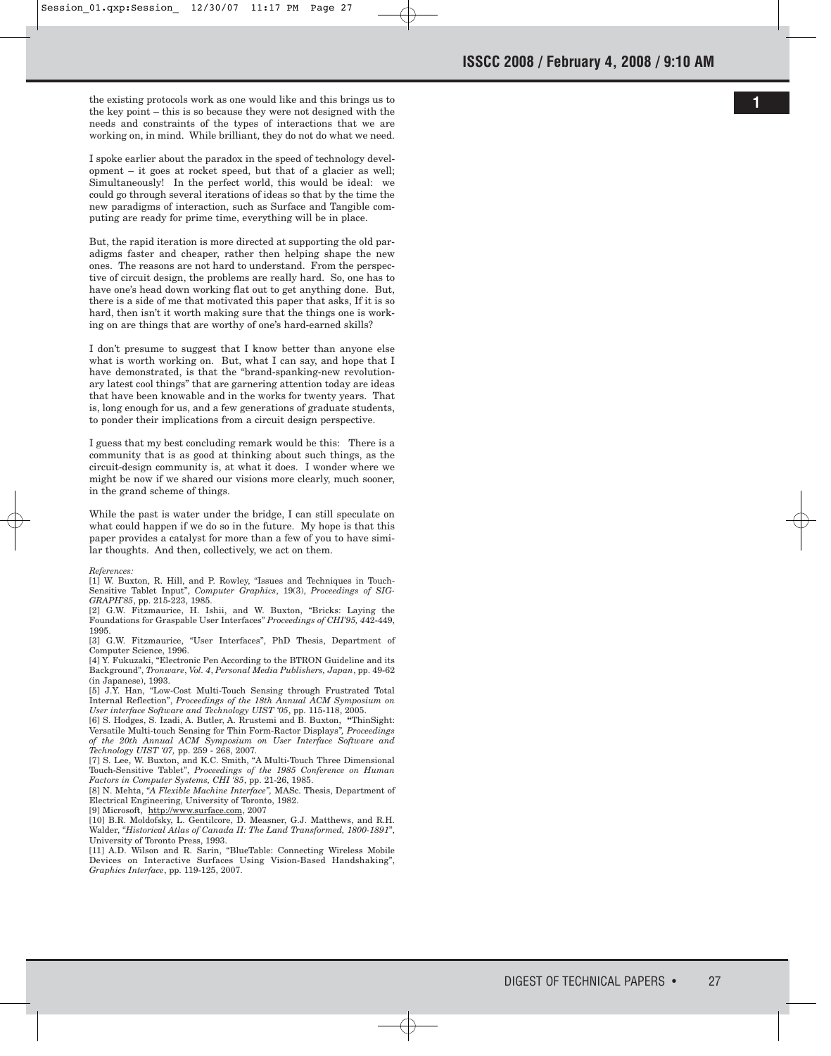the existing protocols work as one would like and this brings us to the key point – this is so because they were not designed with the needs and constraints of the types of interactions that we are working on, in mind. While brilliant, they do not do what we need.

I spoke earlier about the paradox in the speed of technology development – it goes at rocket speed, but that of a glacier as well; Simultaneously! In the perfect world, this would be ideal: we could go through several iterations of ideas so that by the time the new paradigms of interaction, such as Surface and Tangible computing are ready for prime time, everything will be in place.

But, the rapid iteration is more directed at supporting the old paradigms faster and cheaper, rather then helping shape the new ones. The reasons are not hard to understand. From the perspective of circuit design, the problems are really hard. So, one has to have one's head down working flat out to get anything done. But, there is a side of me that motivated this paper that asks, If it is so hard, then isn't it worth making sure that the things one is working on are things that are worthy of one's hard-earned skills?

I don't presume to suggest that I know better than anyone else what is worth working on. But, what I can say, and hope that I have demonstrated, is that the "brand-spanking-new revolutionary latest cool things" that are garnering attention today are ideas that have been knowable and in the works for twenty years. That is, long enough for us, and a few generations of graduate students, to ponder their implications from a circuit design perspective.

I guess that my best concluding remark would be this: There is a community that is as good at thinking about such things, as the circuit-design community is, at what it does. I wonder where we might be now if we shared our visions more clearly, much sooner, in the grand scheme of things.

While the past is water under the bridge, I can still speculate on what could happen if we do so in the future. My hope is that this paper provides a catalyst for more than a few of you to have similar thoughts. And then, collectively, we act on them.

#### *References:*

[1] W. Buxton, R. Hill, and P. Rowley, "Issues and Techniques in Touch-Sensitive Tablet Input", *Computer Graphics*, 19(3), *Proceedings of SIG-GRAPH'85*, pp. 215-223, 1985.

[2] G.W. Fitzmaurice, H. Ishii, and W. Buxton, "Bricks: Laying the Foundations for Graspable User Interfaces" *Proceedings of CHI'95, 4*42-449, 1995.

[3] G.W. Fitzmaurice, "User Interfaces", PhD Thesis, Department of Computer Science, 1996.

[4] Y. Fukuzaki, "Electronic Pen According to the BTRON Guideline and its Background", *Tronware*, *Vol. 4*, *Personal Media Publishers, Japan*, pp. 49-62 (in Japanese), 1993.

[5] J.Y. Han, "Low-Cost Multi-Touch Sensing through Frustrated Total Internal Reflection", *Proceedings of the 18th Annual ACM Symposium on User interface Software and Technology UIST '05*, pp. 115-118, 2005.

[6] S. Hodges, S. Izadi, A. Butler, A. Rrustemi and B. Buxton, **"**ThinSight: Versatile Multi-touch Sensing for Thin Form-Ractor Displays*", Proceedings of the 20th Annual ACM Symposium on User Interface Software and Technology UIST '07,* pp. 259 - 268, 2007*.*

[7] S. Lee, W. Buxton, and K.C. Smith, "A Multi-Touch Three Dimensional Touch-Sensitive Tablet", *Proceedings of the 1985 Conference on Human Factors in Computer Systems, CHI '85*, pp. 21-26, 1985.

[8] N. Mehta, "*A Flexible Machine Interface",* MASc. Thesis, Department of Electrical Engineering, University of Toronto, 1982.

[9] Microsoft, http://www.surface.com, 2007

[10] B.R. Moldofsky, L. Gentilcore, D. Measner, G.J. Matthews, and R.H. Walder, *"Historical Atlas of Canada II: The Land Transformed, 1800-1891*", University of Toronto Press, 1993.

[11] A.D. Wilson and R. Sarin, "BlueTable: Connecting Wireless Mobile Devices on Interactive Surfaces Using Vision-Based Handshaking", *Graphics Interface*, pp. 119-125, 2007.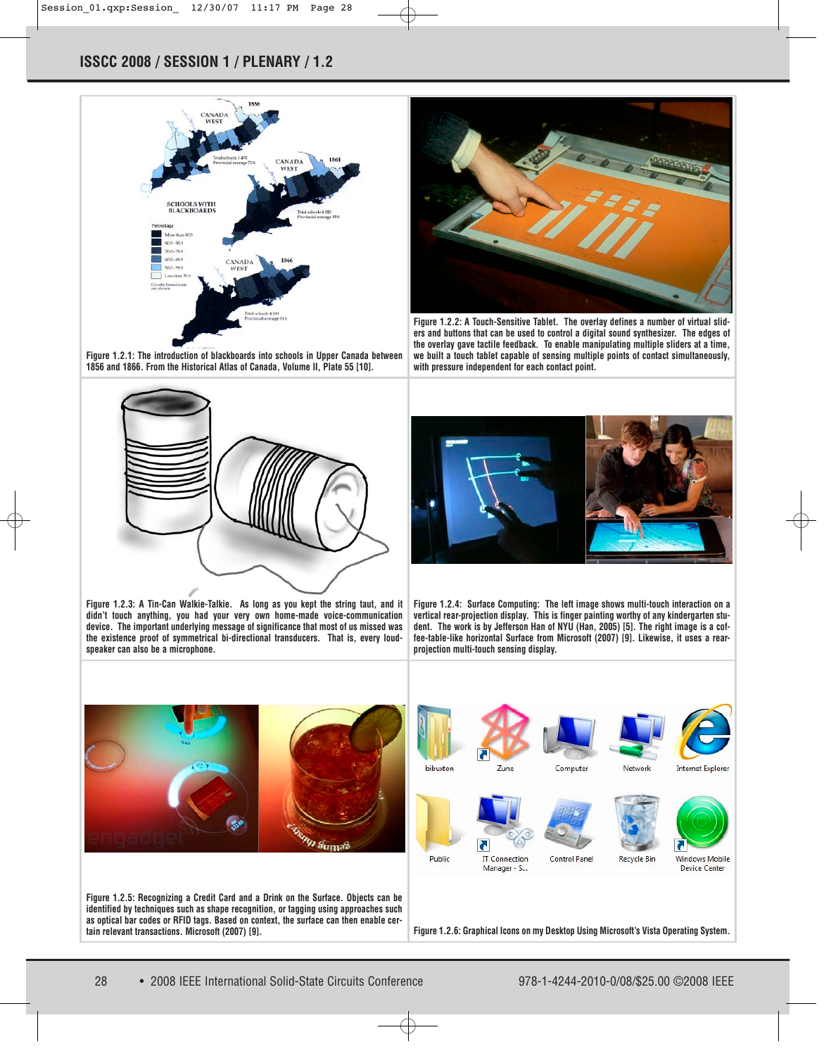

**Figure 1.2.1: The introduction of blackboards into schools in Upper Canada between 1856 and 1866. From the Historical Atlas of Canada, Volume II, Plate 55 [10].**



**Figure 1.2.2: A Touch-Sensitive Tablet. The overlay defines a number of virtual sliders and buttons that can be used to control a digital sound synthesizer. The edges of the overlay gave tactile feedback. To enable manipulating multiple sliders at a time, we built a touch tablet capable of sensing multiple points of contact simultaneously, with pressure independent for each contact point.** 



**Figure 1.2.3: A Tin-Can Walkie-Talkie. As long as you kept the string taut, and it didn't touch anything, you had your very own home-made voice-communication device. The important underlying message of significance that most of us missed was the existence proof of symmetrical bi-directional transducers. That is, every loudspeaker can also be a microphone.** 



**Figure 1.2.4: Surface Computing: The left image shows multi-touch interaction on a vertical rear-projection display. This is finger painting worthy of any kindergarten student. The work is by Jefferson Han of NYU (Han, 2005) [5]. The right image is a coffee-table-like horizontal Surface from Microsoft (2007) [9]. Likewise, it uses a rearprojection multi-touch sensing display.** 



**Internet Explorer** 

**Windows Mobile** 

**Device Center**